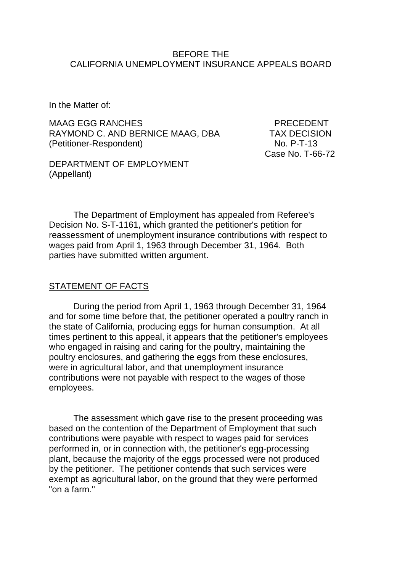#### BEFORE THE CALIFORNIA UNEMPLOYMENT INSURANCE APPEALS BOARD

In the Matter of:

MAAG EGG RANCHES PRECEDENT RAYMOND C. AND BERNICE MAAG, DBA TAX DECISION (Petitioner-Respondent) No. P-T-13

Case No. T-66-72

DEPARTMENT OF EMPLOYMENT (Appellant)

The Department of Employment has appealed from Referee's Decision No. S-T-1161, which granted the petitioner's petition for reassessment of unemployment insurance contributions with respect to wages paid from April 1, 1963 through December 31, 1964. Both parties have submitted written argument.

### STATEMENT OF FACTS

During the period from April 1, 1963 through December 31, 1964 and for some time before that, the petitioner operated a poultry ranch in the state of California, producing eggs for human consumption. At all times pertinent to this appeal, it appears that the petitioner's employees who engaged in raising and caring for the poultry, maintaining the poultry enclosures, and gathering the eggs from these enclosures, were in agricultural labor, and that unemployment insurance contributions were not payable with respect to the wages of those employees.

The assessment which gave rise to the present proceeding was based on the contention of the Department of Employment that such contributions were payable with respect to wages paid for services performed in, or in connection with, the petitioner's egg-processing plant, because the majority of the eggs processed were not produced by the petitioner. The petitioner contends that such services were exempt as agricultural labor, on the ground that they were performed "on a farm."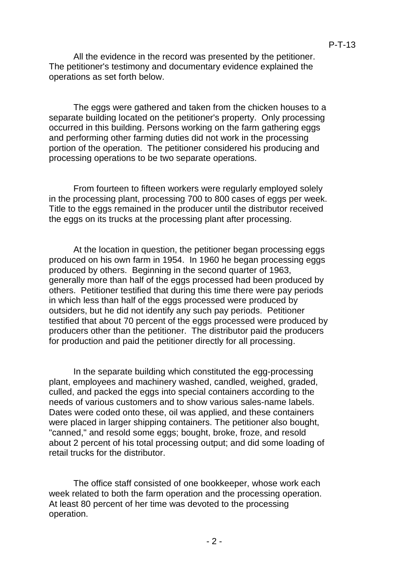All the evidence in the record was presented by the petitioner. The petitioner's testimony and documentary evidence explained the operations as set forth below.

The eggs were gathered and taken from the chicken houses to a separate building located on the petitioner's property. Only processing occurred in this building. Persons working on the farm gathering eggs and performing other farming duties did not work in the processing portion of the operation. The petitioner considered his producing and processing operations to be two separate operations.

From fourteen to fifteen workers were regularly employed solely in the processing plant, processing 700 to 800 cases of eggs per week. Title to the eggs remained in the producer until the distributor received the eggs on its trucks at the processing plant after processing.

At the location in question, the petitioner began processing eggs produced on his own farm in 1954. In 1960 he began processing eggs produced by others. Beginning in the second quarter of 1963, generally more than half of the eggs processed had been produced by others. Petitioner testified that during this time there were pay periods in which less than half of the eggs processed were produced by outsiders, but he did not identify any such pay periods. Petitioner testified that about 70 percent of the eggs processed were produced by producers other than the petitioner. The distributor paid the producers for production and paid the petitioner directly for all processing.

In the separate building which constituted the egg-processing plant, employees and machinery washed, candled, weighed, graded, culled, and packed the eggs into special containers according to the needs of various customers and to show various sales-name labels. Dates were coded onto these, oil was applied, and these containers were placed in larger shipping containers. The petitioner also bought, "canned," and resold some eggs; bought, broke, froze, and resold about 2 percent of his total processing output; and did some loading of retail trucks for the distributor.

The office staff consisted of one bookkeeper, whose work each week related to both the farm operation and the processing operation. At least 80 percent of her time was devoted to the processing operation.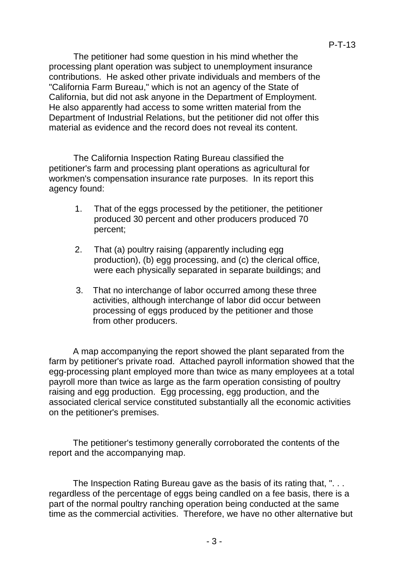The petitioner had some question in his mind whether the processing plant operation was subject to unemployment insurance contributions. He asked other private individuals and members of the "California Farm Bureau," which is not an agency of the State of California, but did not ask anyone in the Department of Employment. He also apparently had access to some written material from the Department of Industrial Relations, but the petitioner did not offer this material as evidence and the record does not reveal its content.

The California Inspection Rating Bureau classified the petitioner's farm and processing plant operations as agricultural for workmen's compensation insurance rate purposes. In its report this agency found:

- 1. That of the eggs processed by the petitioner, the petitioner produced 30 percent and other producers produced 70 percent;
- 2. That (a) poultry raising (apparently including egg production), (b) egg processing, and (c) the clerical office, were each physically separated in separate buildings; and
- 3. That no interchange of labor occurred among these three activities, although interchange of labor did occur between processing of eggs produced by the petitioner and those from other producers.

A map accompanying the report showed the plant separated from the farm by petitioner's private road. Attached payroll information showed that the egg-processing plant employed more than twice as many employees at a total payroll more than twice as large as the farm operation consisting of poultry raising and egg production. Egg processing, egg production, and the associated clerical service constituted substantially all the economic activities on the petitioner's premises.

The petitioner's testimony generally corroborated the contents of the report and the accompanying map.

The Inspection Rating Bureau gave as the basis of its rating that, "... regardless of the percentage of eggs being candled on a fee basis, there is a part of the normal poultry ranching operation being conducted at the same time as the commercial activities. Therefore, we have no other alternative but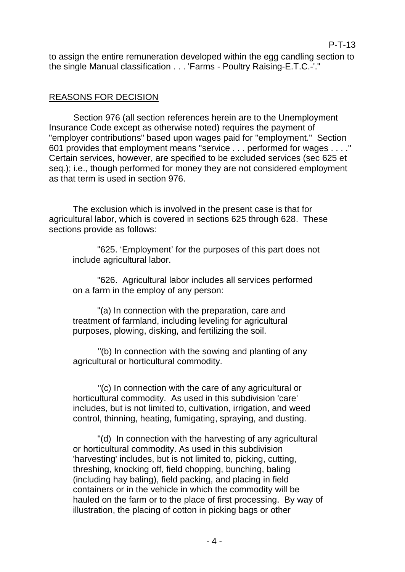to assign the entire remuneration developed within the egg candling section to the single Manual classification . . . 'Farms - Poultry Raising-E.T.C.-'."

# REASONS FOR DECISION

Section 976 (all section references herein are to the Unemployment Insurance Code except as otherwise noted) requires the payment of "employer contributions" based upon wages paid for "employment." Section 601 provides that employment means "service . . . performed for wages . . . ." Certain services, however, are specified to be excluded services (sec 625 et seq.); i.e., though performed for money they are not considered employment as that term is used in section 976.

The exclusion which is involved in the present case is that for agricultural labor, which is covered in sections 625 through 628. These sections provide as follows:

"625. 'Employment' for the purposes of this part does not include agricultural labor.

"626. Agricultural labor includes all services performed on a farm in the employ of any person:

"(a) In connection with the preparation, care and treatment of farmland, including leveling for agricultural purposes, plowing, disking, and fertilizing the soil.

"(b) In connection with the sowing and planting of any agricultural or horticultural commodity.

"(c) In connection with the care of any agricultural or horticultural commodity. As used in this subdivision 'care' includes, but is not limited to, cultivation, irrigation, and weed control, thinning, heating, fumigating, spraying, and dusting.

"(d) In connection with the harvesting of any agricultural or horticultural commodity. As used in this subdivision 'harvesting' includes, but is not limited to, picking, cutting, threshing, knocking off, field chopping, bunching, baling (including hay baling), field packing, and placing in field containers or in the vehicle in which the commodity will be hauled on the farm or to the place of first processing. By way of illustration, the placing of cotton in picking bags or other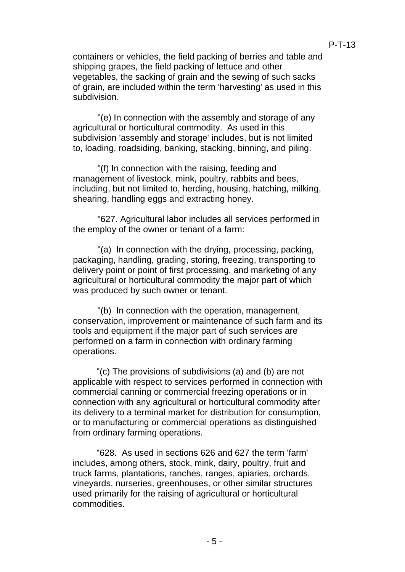containers or vehicles, the field packing of berries and table and shipping grapes, the field packing of lettuce and other vegetables, the sacking of grain and the sewing of such sacks of grain, are included within the term 'harvesting' as used in this subdivision.

"(e) In connection with the assembly and storage of any agricultural or horticultural commodity. As used in this subdivision 'assembly and storage' includes, but is not limited to, loading, roadsiding, banking, stacking, binning, and piling.

"(f) In connection with the raising, feeding and management of livestock, mink, poultry, rabbits and bees, including, but not limited to, herding, housing, hatching, milking, shearing, handling eggs and extracting honey.

"627. Agricultural labor includes all services performed in the employ of the owner or tenant of a farm:

"(a) In connection with the drying, processing, packing, packaging, handling, grading, storing, freezing, transporting to delivery point or point of first processing, and marketing of any agricultural or horticultural commodity the major part of which was produced by such owner or tenant.

"(b) In connection with the operation, management, conservation, improvement or maintenance of such farm and its tools and equipment if the major part of such services are performed on a farm in connection with ordinary farming operations.

"(c) The provisions of subdivisions (a) and (b) are not applicable with respect to services performed in connection with commercial canning or commercial freezing operations or in connection with any agricultural or horticultural commodity after its delivery to a terminal market for distribution for consumption, or to manufacturing or commercial operations as distinguished from ordinary farming operations.

"628. As used in sections 626 and 627 the term 'farm' includes, among others, stock, mink, dairy, poultry, fruit and truck farms, plantations, ranches, ranges, apiaries, orchards, vineyards, nurseries, greenhouses, or other similar structures used primarily for the raising of agricultural or horticultural commodities.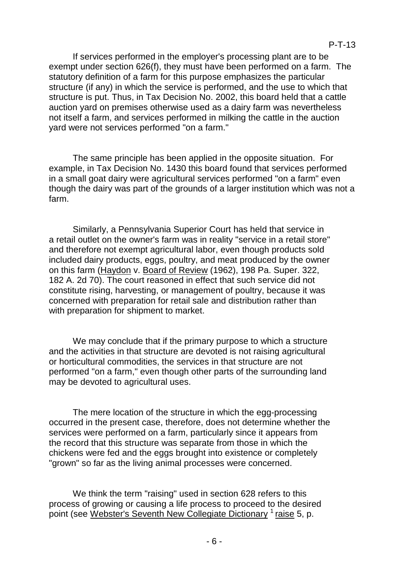If services performed in the employer's processing plant are to be exempt under section 626(f), they must have been performed on a farm. The statutory definition of a farm for this purpose emphasizes the particular structure (if any) in which the service is performed, and the use to which that structure is put. Thus, in Tax Decision No. 2002, this board held that a cattle auction yard on premises otherwise used as a dairy farm was nevertheless not itself a farm, and services performed in milking the cattle in the auction yard were not services performed "on a farm."

The same principle has been applied in the opposite situation. For example, in Tax Decision No. 1430 this board found that services performed in a small goat dairy were agricultural services performed "on a farm" even though the dairy was part of the grounds of a larger institution which was not a farm.

Similarly, a Pennsylvania Superior Court has held that service in a retail outlet on the owner's farm was in reality "service in a retail store" and therefore not exempt agricultural labor, even though products sold included dairy products, eggs, poultry, and meat produced by the owner on this farm (Haydon v. Board of Review (1962), 198 Pa. Super. 322, 182 A. 2d 70). The court reasoned in effect that such service did not constitute rising, harvesting, or management of poultry, because it was concerned with preparation for retail sale and distribution rather than with preparation for shipment to market.

We may conclude that if the primary purpose to which a structure and the activities in that structure are devoted is not raising agricultural or horticultural commodities, the services in that structure are not performed "on a farm," even though other parts of the surrounding land may be devoted to agricultural uses.

The mere location of the structure in which the egg-processing occurred in the present case, therefore, does not determine whether the services were performed on a farm, particularly since it appears from the record that this structure was separate from those in which the chickens were fed and the eggs brought into existence or completely "grown" so far as the living animal processes were concerned.

We think the term "raising" used in section 628 refers to this process of growing or causing a life process to proceed to the desired point (see Webster's Seventh New Collegiate Dictionary <sup>1</sup> raise 5, p.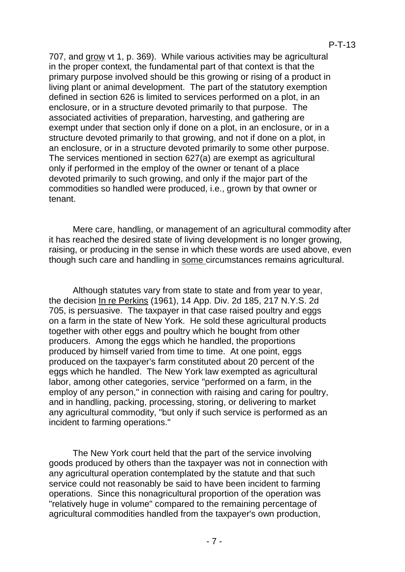707, and grow vt 1, p. 369). While various activities may be agricultural in the proper context, the fundamental part of that context is that the primary purpose involved should be this growing or rising of a product in living plant or animal development. The part of the statutory exemption defined in section 626 is limited to services performed on a plot, in an enclosure, or in a structure devoted primarily to that purpose. The associated activities of preparation, harvesting, and gathering are exempt under that section only if done on a plot, in an enclosure, or in a structure devoted primarily to that growing, and not if done on a plot, in an enclosure, or in a structure devoted primarily to some other purpose. The services mentioned in section 627(a) are exempt as agricultural only if performed in the employ of the owner or tenant of a place devoted primarily to such growing, and only if the major part of the commodities so handled were produced, i.e., grown by that owner or tenant.

Mere care, handling, or management of an agricultural commodity after it has reached the desired state of living development is no longer growing, raising, or producing in the sense in which these words are used above, even though such care and handling in some circumstances remains agricultural.

Although statutes vary from state to state and from year to year, the decision In re Perkins (1961), 14 App. Div. 2d 185, 217 N.Y.S. 2d 705, is persuasive. The taxpayer in that case raised poultry and eggs on a farm in the state of New York. He sold these agricultural products together with other eggs and poultry which he bought from other producers. Among the eggs which he handled, the proportions produced by himself varied from time to time. At one point, eggs produced on the taxpayer's farm constituted about 20 percent of the eggs which he handled. The New York law exempted as agricultural labor, among other categories, service "performed on a farm, in the employ of any person," in connection with raising and caring for poultry, and in handling, packing, processing, storing, or delivering to market any agricultural commodity, "but only if such service is performed as an incident to farming operations."

The New York court held that the part of the service involving goods produced by others than the taxpayer was not in connection with any agricultural operation contemplated by the statute and that such service could not reasonably be said to have been incident to farming operations. Since this nonagricultural proportion of the operation was "relatively huge in volume" compared to the remaining percentage of agricultural commodities handled from the taxpayer's own production,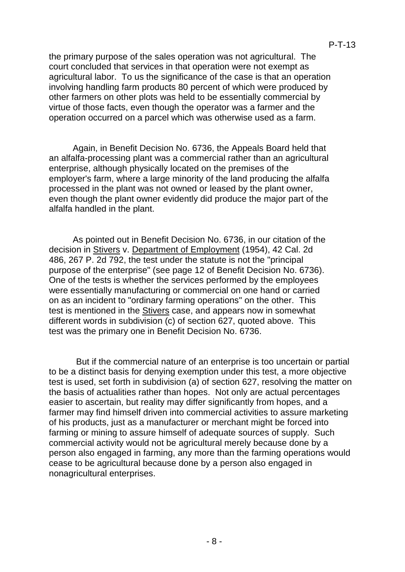the primary purpose of the sales operation was not agricultural. The court concluded that services in that operation were not exempt as agricultural labor. To us the significance of the case is that an operation involving handling farm products 80 percent of which were produced by other farmers on other plots was held to be essentially commercial by virtue of those facts, even though the operator was a farmer and the operation occurred on a parcel which was otherwise used as a farm.

Again, in Benefit Decision No. 6736, the Appeals Board held that an alfalfa-processing plant was a commercial rather than an agricultural enterprise, although physically located on the premises of the employer's farm, where a large minority of the land producing the alfalfa processed in the plant was not owned or leased by the plant owner, even though the plant owner evidently did produce the major part of the alfalfa handled in the plant.

As pointed out in Benefit Decision No. 6736, in our citation of the decision in Stivers v. Department of Employment (1954), 42 Cal. 2d 486, 267 P. 2d 792, the test under the statute is not the "principal purpose of the enterprise" (see page 12 of Benefit Decision No. 6736). One of the tests is whether the services performed by the employees were essentially manufacturing or commercial on one hand or carried on as an incident to "ordinary farming operations" on the other. This test is mentioned in the Stivers case, and appears now in somewhat different words in subdivision  $(c)$  of section 627, quoted above. This test was the primary one in Benefit Decision No. 6736.

But if the commercial nature of an enterprise is too uncertain or partial to be a distinct basis for denying exemption under this test, a more objective test is used, set forth in subdivision (a) of section 627, resolving the matter on the basis of actualities rather than hopes. Not only are actual percentages easier to ascertain, but reality may differ significantly from hopes, and a farmer may find himself driven into commercial activities to assure marketing of his products, just as a manufacturer or merchant might be forced into farming or mining to assure himself of adequate sources of supply. Such commercial activity would not be agricultural merely because done by a person also engaged in farming, any more than the farming operations would cease to be agricultural because done by a person also engaged in nonagricultural enterprises.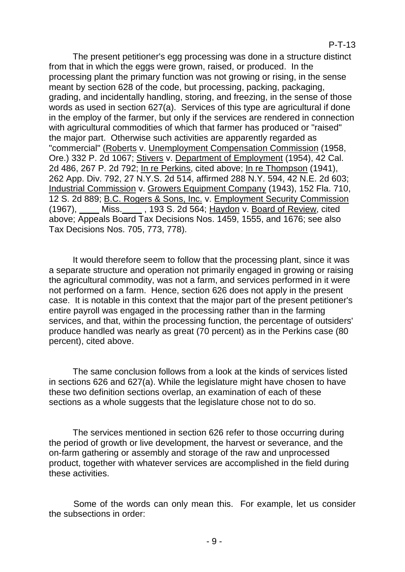## P-T-13

The present petitioner's egg processing was done in a structure distinct from that in which the eggs were grown, raised, or produced. In the processing plant the primary function was not growing or rising, in the sense meant by section 628 of the code, but processing, packing, packaging, grading, and incidentally handling, storing, and freezing, in the sense of those words as used in section 627(a). Services of this type are agricultural if done in the employ of the farmer, but only if the services are rendered in connection with agricultural commodities of which that farmer has produced or "raised" the major part. Otherwise such activities are apparently regarded as "commercial" (Roberts v. Unemployment Compensation Commission (1958, Ore.) 332 P. 2d 1067; Stivers v. Department of Employment (1954), 42 Cal. 2d 486, 267 P. 2d 792; In re Perkins, cited above; In re Thompson (1941), 262 App. Div. 792, 27 N.Y.S. 2d 514, affirmed 288 N.Y. 594, 42 N.E. 2d 603; Industrial Commission v. Growers Equipment Company (1943), 152 Fla. 710, 12 S. 2d 889; B.C. Rogers & Sons, Inc. v. Employment Security Commission (1967), \_\_\_\_ Miss.\_\_\_\_ , 193 S. 2d 564; Haydon v. Board of Review, cited above; Appeals Board Tax Decisions Nos. 1459, 1555, and 1676; see also Tax Decisions Nos. 705, 773, 778).

It would therefore seem to follow that the processing plant, since it was a separate structure and operation not primarily engaged in growing or raising the agricultural commodity, was not a farm, and services performed in it were not performed on a farm. Hence, section 626 does not apply in the present case. It is notable in this context that the major part of the present petitioner's entire payroll was engaged in the processing rather than in the farming services, and that, within the processing function, the percentage of outsiders' produce handled was nearly as great (70 percent) as in the Perkins case (80 percent), cited above.

The same conclusion follows from a look at the kinds of services listed in sections 626 and 627(a). While the legislature might have chosen to have these two definition sections overlap, an examination of each of these sections as a whole suggests that the legislature chose not to do so.

The services mentioned in section 626 refer to those occurring during the period of growth or live development, the harvest or severance, and the on-farm gathering or assembly and storage of the raw and unprocessed product, together with whatever services are accomplished in the field during these activities.

Some of the words can only mean this. For example, let us consider the subsections in order: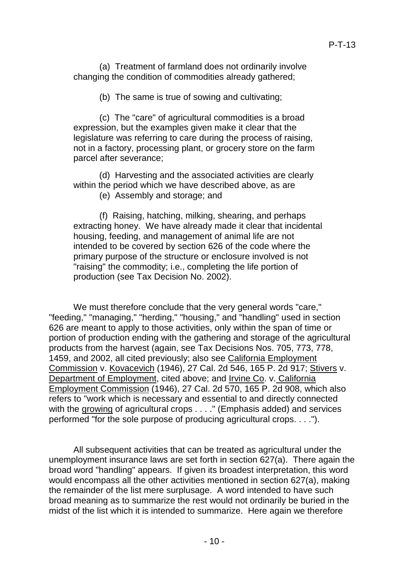(a) Treatment of farmland does not ordinarily involve changing the condition of commodities already gathered;

(b) The same is true of sowing and cultivating;

(c) The "care" of agricultural commodities is a broad expression, but the examples given make it clear that the legislature was referring to care during the process of raising, not in a factory, processing plant, or grocery store on the farm parcel after severance;

(d) Harvesting and the associated activities are clearly within the period which we have described above, as are

(e) Assembly and storage; and

(f) Raising, hatching, milking, shearing, and perhaps extracting honey. We have already made it clear that incidental housing, feeding, and management of animal life are not intended to be covered by section 626 of the code where the primary purpose of the structure or enclosure involved is not "raising" the commodity; i.e., completing the life portion of production (see Tax Decision No. 2002).

We must therefore conclude that the very general words "care," "feeding," "managing," "herding," "housing," and "handling" used in section 626 are meant to apply to those activities, only within the span of time or portion of production ending with the gathering and storage of the agricultural products from the harvest (again, see Tax Decisions Nos. 705, 773, 778, 1459, and 2002, all cited previously; also see California Employment Commission v. Kovacevich (1946), 27 Cal. 2d 546, 165 P. 2d 917; Stivers v. Department of Employment, cited above; and Irvine Co. v. California Employment Commission (1946), 27 Cal. 2d 570, 165 P. 2d 908, which also refers to "work which is necessary and essential to and directly connected with the growing of agricultural crops . . . . " (Emphasis added) and services performed "for the sole purpose of producing agricultural crops. . . .").

All subsequent activities that can be treated as agricultural under the unemployment insurance laws are set forth in section 627(a). There again the broad word "handling" appears. If given its broadest interpretation, this word would encompass all the other activities mentioned in section 627(a), making the remainder of the list mere surplusage. A word intended to have such broad meaning as to summarize the rest would not ordinarily be buried in the midst of the list which it is intended to summarize. Here again we therefore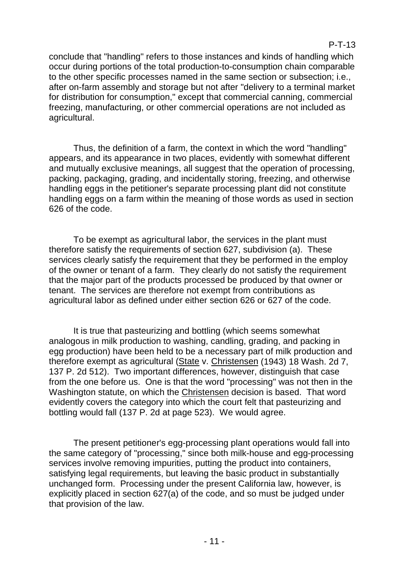## P-T-13

conclude that "handling" refers to those instances and kinds of handling which occur during portions of the total production-to-consumption chain comparable to the other specific processes named in the same section or subsection; i.e., after on-farm assembly and storage but not after "delivery to a terminal market for distribution for consumption," except that commercial canning, commercial freezing, manufacturing, or other commercial operations are not included as agricultural.

Thus, the definition of a farm, the context in which the word "handling" appears, and its appearance in two places, evidently with somewhat different and mutually exclusive meanings, all suggest that the operation of processing, packing, packaging, grading, and incidentally storing, freezing, and otherwise handling eggs in the petitioner's separate processing plant did not constitute handling eggs on a farm within the meaning of those words as used in section 626 of the code.

To be exempt as agricultural labor, the services in the plant must therefore satisfy the requirements of section 627, subdivision (a). These services clearly satisfy the requirement that they be performed in the employ of the owner or tenant of a farm. They clearly do not satisfy the requirement that the major part of the products processed be produced by that owner or tenant. The services are therefore not exempt from contributions as agricultural labor as defined under either section 626 or 627 of the code.

It is true that pasteurizing and bottling (which seems somewhat analogous in milk production to washing, candling, grading, and packing in egg production) have been held to be a necessary part of milk production and therefore exempt as agricultural (State v. Christensen (1943) 18 Wash. 2d 7, 137 P. 2d 512). Two important differences, however, distinguish that case from the one before us. One is that the word "processing" was not then in the Washington statute, on which the Christensen decision is based. That word evidently covers the category into which the court felt that pasteurizing and bottling would fall (137 P. 2d at page 523). We would agree.

The present petitioner's egg-processing plant operations would fall into the same category of "processing," since both milk-house and egg-processing services involve removing impurities, putting the product into containers, satisfying legal requirements, but leaving the basic product in substantially unchanged form. Processing under the present California law, however, is explicitly placed in section 627(a) of the code, and so must be judged under that provision of the law.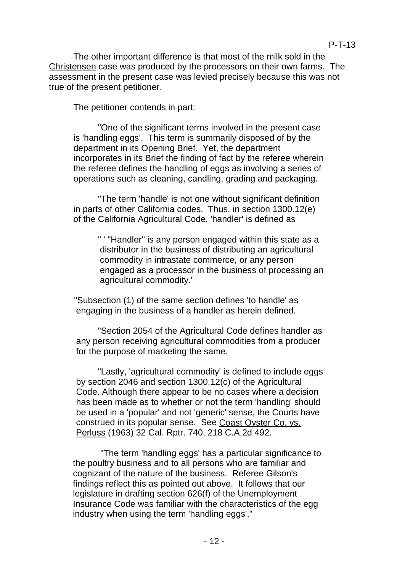The other important difference is that most of the milk sold in the Christensen case was produced by the processors on their own farms. The assessment in the present case was levied precisely because this was not true of the present petitioner.

The petitioner contends in part:

"One of the significant terms involved in the present case is 'handling eggs'. This term is summarily disposed of by the department in its Opening Brief. Yet, the department incorporates in its Brief the finding of fact by the referee wherein the referee defines the handling of eggs as involving a series of operations such as cleaning, candling, grading and packaging.

"The term 'handle' is not one without significant definition in parts of other California codes. Thus, in section 1300.12(e) of the California Agricultural Code, 'handler' is defined as

> " ' "Handler" is any person engaged within this state as a distributor in the business of distributing an agricultural commodity in intrastate commerce, or any person engaged as a processor in the business of processing an agricultural commodity.'

"Subsection (1) of the same section defines 'to handle' as engaging in the business of a handler as herein defined.

"Section 2054 of the Agricultural Code defines handler as any person receiving agricultural commodities from a producer for the purpose of marketing the same.

"Lastly, 'agricultural commodity' is defined to include eggs by section 2046 and section 1300.12(c) of the Agricultural Code. Although there appear to be no cases where a decision has been made as to whether or not the term 'handling' should be used in a 'popular' and not 'generic' sense, the Courts have construed in its popular sense. See Coast Oyster Co. vs. Perluss (1963) 32 Cal. Rptr. 740, 218 C.A.2d 492.

"The term 'handling eggs' has a particular significance to the poultry business and to all persons who are familiar and cognizant of the nature of the business. Referee Gilson's findings reflect this as pointed out above. It follows that our legislature in drafting section 626(f) of the Unemployment Insurance Code was familiar with the characteristics of the egg industry when using the term 'handling eggs'."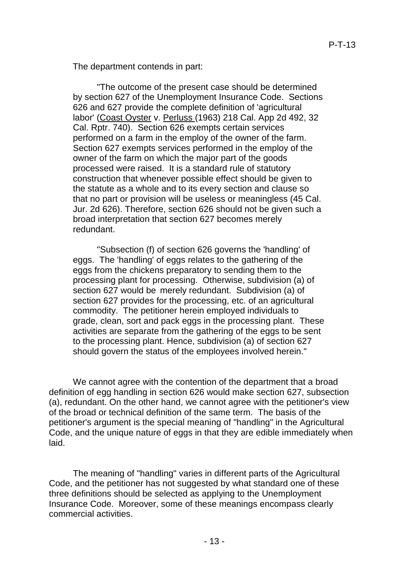The department contends in part:

"The outcome of the present case should be determined by section 627 of the Unemployment Insurance Code. Sections 626 and 627 provide the complete definition of 'agricultural labor' (Coast Oyster v. Perluss (1963) 218 Cal. App 2d 492, 32 Cal. Rptr. 740). Section 626 exempts certain services performed on a farm in the employ of the owner of the farm. Section 627 exempts services performed in the employ of the owner of the farm on which the major part of the goods processed were raised. It is a standard rule of statutory construction that whenever possible effect should be given to the statute as a whole and to its every section and clause so that no part or provision will be useless or meaningless (45 Cal. Jur. 2d 626). Therefore, section 626 should not be given such a broad interpretation that section 627 becomes merely redundant.

"Subsection (f) of section 626 governs the 'handling' of eggs. The 'handling' of eggs relates to the gathering of the eggs from the chickens preparatory to sending them to the processing plant for processing. Otherwise, subdivision (a) of section 627 would be merely redundant. Subdivision (a) of section 627 provides for the processing, etc. of an agricultural commodity. The petitioner herein employed individuals to grade, clean, sort and pack eggs in the processing plant. These activities are separate from the gathering of the eggs to be sent to the processing plant. Hence, subdivision (a) of section 627 should govern the status of the employees involved herein."

We cannot agree with the contention of the department that a broad definition of egg handling in section 626 would make section 627, subsection (a), redundant. On the other hand, we cannot agree with the petitioner's view of the broad or technical definition of the same term. The basis of the petitioner's argument is the special meaning of "handling" in the Agricultural Code, and the unique nature of eggs in that they are edible immediately when laid.

The meaning of "handling" varies in different parts of the Agricultural Code, and the petitioner has not suggested by what standard one of these three definitions should be selected as applying to the Unemployment Insurance Code. Moreover, some of these meanings encompass clearly commercial activities.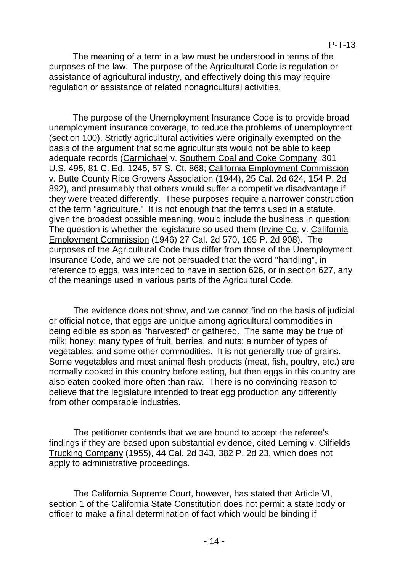The meaning of a term in a law must be understood in terms of the purposes of the law. The purpose of the Agricultural Code is regulation or assistance of agricultural industry, and effectively doing this may require regulation or assistance of related nonagricultural activities.

The purpose of the Unemployment Insurance Code is to provide broad unemployment insurance coverage, to reduce the problems of unemployment (section 100). Strictly agricultural activities were originally exempted on the basis of the argument that some agriculturists would not be able to keep adequate records (Carmichael v. Southern Coal and Coke Company, 301 U.S. 495, 81 C. Ed. 1245, 57 S. Ct. 868; California Employment Commission v. Butte County Rice Growers Association (1944), 25 Cal. 2d 624, 154 P. 2d 892), and presumably that others would suffer a competitive disadvantage if they were treated differently. These purposes require a narrower construction of the term "agriculture." It is not enough that the terms used in a statute, given the broadest possible meaning, would include the business in question; The question is whether the legislature so used them (Irvine Co. v. California Employment Commission (1946) 27 Cal. 2d 570, 165 P. 2d 908). The purposes of the Agricultural Code thus differ from those of the Unemployment Insurance Code, and we are not persuaded that the word "handling", in reference to eggs, was intended to have in section 626, or in section 627, any of the meanings used in various parts of the Agricultural Code.

The evidence does not show, and we cannot find on the basis of judicial or official notice, that eggs are unique among agricultural commodities in being edible as soon as "harvested" or gathered. The same may be true of milk; honey; many types of fruit, berries, and nuts; a number of types of vegetables; and some other commodities. It is not generally true of grains. Some vegetables and most animal flesh products (meat, fish, poultry, etc.) are normally cooked in this country before eating, but then eggs in this country are also eaten cooked more often than raw. There is no convincing reason to believe that the legislature intended to treat egg production any differently from other comparable industries.

The petitioner contends that we are bound to accept the referee's findings if they are based upon substantial evidence, cited Leming v. Oilfields Trucking Company (1955), 44 Cal. 2d 343, 382 P. 2d 23, which does not apply to administrative proceedings.

The California Supreme Court, however, has stated that Article VI, section 1 of the California State Constitution does not permit a state body or officer to make a final determination of fact which would be binding if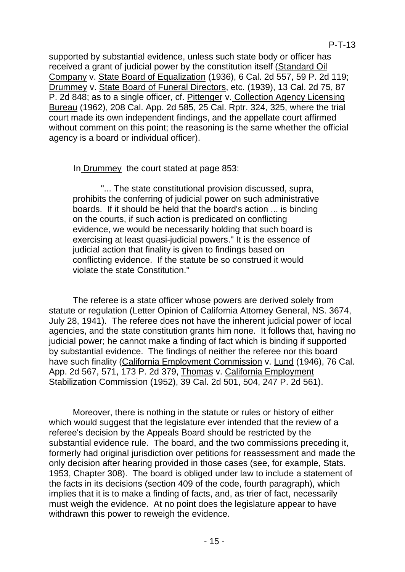supported by substantial evidence, unless such state body or officer has received a grant of judicial power by the constitution itself (Standard Oil Company v. State Board of Equalization (1936), 6 Cal. 2d 557, 59 P. 2d 119; Drummey v. State Board of Funeral Directors, etc. (1939), 13 Cal. 2d 75, 87 P. 2d 848; as to a single officer, cf. Pittenger v. Collection Agency Licensing Bureau (1962), 208 Cal. App. 2d 585, 25 Cal. Rptr. 324, 325, where the trial court made its own independent findings, and the appellate court affirmed without comment on this point; the reasoning is the same whether the official agency is a board or individual officer).

In Drummey the court stated at page 853:

"... The state constitutional provision discussed, supra, prohibits the conferring of judicial power on such administrative boards. If it should be held that the board's action ... is binding on the courts, if such action is predicated on conflicting evidence, we would be necessarily holding that such board is exercising at least quasi-judicial powers." It is the essence of judicial action that finality is given to findings based on conflicting evidence. If the statute be so construed it would violate the state Constitution."

The referee is a state officer whose powers are derived solely from statute or regulation (Letter Opinion of California Attorney General, NS. 3674, July 28, 1941). The referee does not have the inherent judicial power of local agencies, and the state constitution grants him none. It follows that, having no judicial power; he cannot make a finding of fact which is binding if supported by substantial evidence. The findings of neither the referee nor this board have such finality (California Employment Commission v. Lund (1946), 76 Cal. App. 2d 567, 571, 173 P. 2d 379, Thomas v. California Employment Stabilization Commission (1952), 39 Cal. 2d 501, 504, 247 P. 2d 561).

Moreover, there is nothing in the statute or rules or history of either which would suggest that the legislature ever intended that the review of a referee's decision by the Appeals Board should be restricted by the substantial evidence rule. The board, and the two commissions preceding it, formerly had original jurisdiction over petitions for reassessment and made the only decision after hearing provided in those cases (see, for example, Stats. 1953, Chapter 308). The board is obliged under law to include a statement of the facts in its decisions (section 409 of the code, fourth paragraph), which implies that it is to make a finding of facts, and, as trier of fact, necessarily must weigh the evidence. At no point does the legislature appear to have withdrawn this power to reweigh the evidence.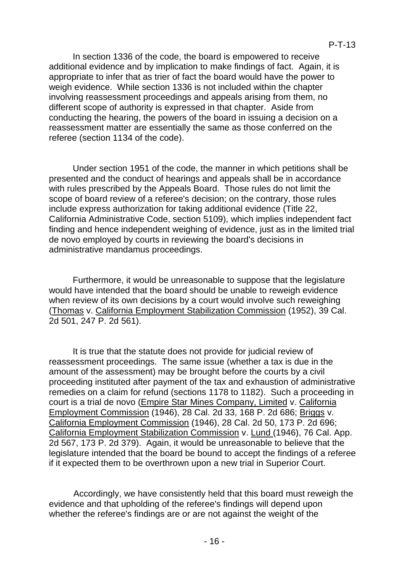In section 1336 of the code, the board is empowered to receive additional evidence and by implication to make findings of fact. Again, it is appropriate to infer that as trier of fact the board would have the power to weigh evidence. While section 1336 is not included within the chapter involving reassessment proceedings and appeals arising from them, no different scope of authority is expressed in that chapter. Aside from conducting the hearing, the powers of the board in issuing a decision on a reassessment matter are essentially the same as those conferred on the referee (section 1134 of the code).

Under section 1951 of the code, the manner in which petitions shall be presented and the conduct of hearings and appeals shall be in accordance with rules prescribed by the Appeals Board. Those rules do not limit the scope of board review of a referee's decision; on the contrary, those rules include express authorization for taking additional evidence (Title 22, California Administrative Code, section 5109), which implies independent fact finding and hence independent weighing of evidence, just as in the limited trial de novo employed by courts in reviewing the board's decisions in administrative mandamus proceedings.

Furthermore, it would be unreasonable to suppose that the legislature would have intended that the board should be unable to reweigh evidence when review of its own decisions by a court would involve such reweighing (Thomas v. California Employment Stabilization Commission (1952), 39 Cal. 2d 501, 247 P. 2d 561).

It is true that the statute does not provide for judicial review of reassessment proceedings. The same issue (whether a tax is due in the amount of the assessment) may be brought before the courts by a civil proceeding instituted after payment of the tax and exhaustion of administrative remedies on a claim for refund (sections 1178 to 1182). Such a proceeding in court is a trial de novo (Empire Star Mines Company, Limited v. California Employment Commission (1946), 28 Cal. 2d 33, 168 P. 2d 686; Briggs v. California Employment Commission (1946), 28 Cal. 2d 50, 173 P. 2d 696; California Employment Stabilization Commission v. Lund (1946), 76 Cal. App. 2d 567, 173 P. 2d 379). Again, it would be unreasonable to believe that the legislature intended that the board be bound to accept the findings of a referee if it expected them to be overthrown upon a new trial in Superior Court.

Accordingly, we have consistently held that this board must reweigh the evidence and that upholding of the referee's findings will depend upon whether the referee's findings are or are not against the weight of the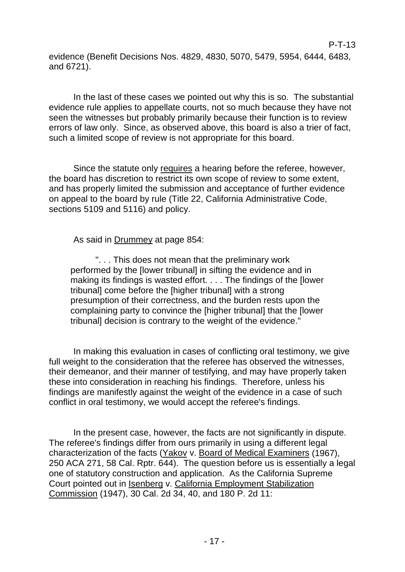evidence (Benefit Decisions Nos. 4829, 4830, 5070, 5479, 5954, 6444, 6483, and 6721).

P-T-13

In the last of these cases we pointed out why this is so. The substantial evidence rule applies to appellate courts, not so much because they have not seen the witnesses but probably primarily because their function is to review errors of law only. Since, as observed above, this board is also a trier of fact, such a limited scope of review is not appropriate for this board.

Since the statute only requires a hearing before the referee, however, the board has discretion to restrict its own scope of review to some extent, and has properly limited the submission and acceptance of further evidence on appeal to the board by rule (Title 22, California Administrative Code, sections 5109 and 5116) and policy.

As said in Drummey at page 854:

". . . This does not mean that the preliminary work performed by the [lower tribunal] in sifting the evidence and in making its findings is wasted effort. . . . The findings of the [lower tribunal] come before the [higher tribunal] with a strong presumption of their correctness, and the burden rests upon the complaining party to convince the [higher tribunal] that the [lower tribunal] decision is contrary to the weight of the evidence."

In making this evaluation in cases of conflicting oral testimony, we give full weight to the consideration that the referee has observed the witnesses, their demeanor, and their manner of testifying, and may have properly taken these into consideration in reaching his findings. Therefore, unless his findings are manifestly against the weight of the evidence in a case of such conflict in oral testimony, we would accept the referee's findings.

In the present case, however, the facts are not significantly in dispute. The referee's findings differ from ours primarily in using a different legal characterization of the facts (Yakov v. Board of Medical Examiners (1967), 250 ACA 271, 58 Cal. Rptr. 644). The question before us is essentially a legal one of statutory construction and application. As the California Supreme Court pointed out in Isenberg v. California Employment Stabilization Commission (1947), 30 Cal. 2d 34, 40, and 180 P. 2d 11: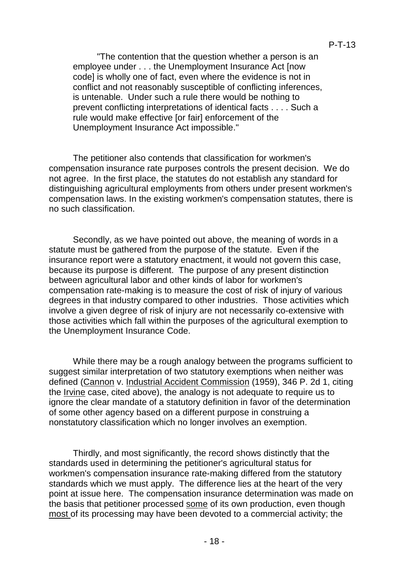"The contention that the question whether a person is an employee under . . . the Unemployment Insurance Act [now code] is wholly one of fact, even where the evidence is not in conflict and not reasonably susceptible of conflicting inferences, is untenable. Under such a rule there would be nothing to prevent conflicting interpretations of identical facts . . . . Such a rule would make effective [or fair] enforcement of the Unemployment Insurance Act impossible."

The petitioner also contends that classification for workmen's compensation insurance rate purposes controls the present decision. We do not agree. In the first place, the statutes do not establish any standard for distinguishing agricultural employments from others under present workmen's compensation laws. In the existing workmen's compensation statutes, there is no such classification.

Secondly, as we have pointed out above, the meaning of words in a statute must be gathered from the purpose of the statute. Even if the insurance report were a statutory enactment, it would not govern this case, because its purpose is different. The purpose of any present distinction between agricultural labor and other kinds of labor for workmen's compensation rate-making is to measure the cost of risk of injury of various degrees in that industry compared to other industries. Those activities which involve a given degree of risk of injury are not necessarily co-extensive with those activities which fall within the purposes of the agricultural exemption to the Unemployment Insurance Code.

While there may be a rough analogy between the programs sufficient to suggest similar interpretation of two statutory exemptions when neither was defined (Cannon v. Industrial Accident Commission (1959), 346 P. 2d 1, citing the Irvine case, cited above), the analogy is not adequate to require us to ignore the clear mandate of a statutory definition in favor of the determination of some other agency based on a different purpose in construing a nonstatutory classification which no longer involves an exemption.

Thirdly, and most significantly, the record shows distinctly that the standards used in determining the petitioner's agricultural status for workmen's compensation insurance rate-making differed from the statutory standards which we must apply. The difference lies at the heart of the very point at issue here. The compensation insurance determination was made on the basis that petitioner processed some of its own production, even though most of its processing may have been devoted to a commercial activity; the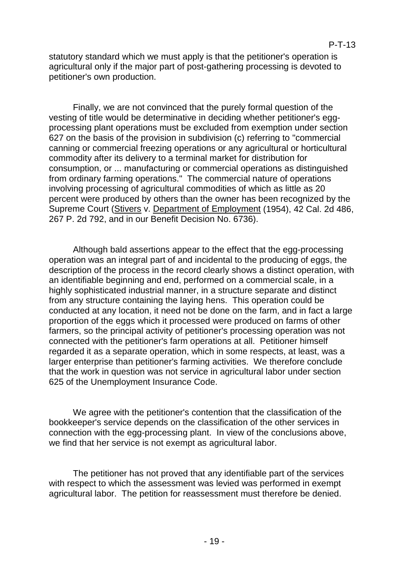statutory standard which we must apply is that the petitioner's operation is agricultural only if the major part of post-gathering processing is devoted to petitioner's own production.

Finally, we are not convinced that the purely formal question of the vesting of title would be determinative in deciding whether petitioner's eggprocessing plant operations must be excluded from exemption under section 627 on the basis of the provision in subdivision (c) referring to "commercial canning or commercial freezing operations or any agricultural or horticultural commodity after its delivery to a terminal market for distribution for consumption, or ... manufacturing or commercial operations as distinguished from ordinary farming operations." The commercial nature of operations involving processing of agricultural commodities of which as little as 20 percent were produced by others than the owner has been recognized by the Supreme Court (Stivers v. Department of Employment (1954), 42 Cal. 2d 486, 267 P. 2d 792, and in our Benefit Decision No. 6736).

Although bald assertions appear to the effect that the egg-processing operation was an integral part of and incidental to the producing of eggs, the description of the process in the record clearly shows a distinct operation, with an identifiable beginning and end, performed on a commercial scale, in a highly sophisticated industrial manner, in a structure separate and distinct from any structure containing the laying hens. This operation could be conducted at any location, it need not be done on the farm, and in fact a large proportion of the eggs which it processed were produced on farms of other farmers, so the principal activity of petitioner's processing operation was not connected with the petitioner's farm operations at all. Petitioner himself regarded it as a separate operation, which in some respects, at least, was a larger enterprise than petitioner's farming activities. We therefore conclude that the work in question was not service in agricultural labor under section 625 of the Unemployment Insurance Code.

We agree with the petitioner's contention that the classification of the bookkeeper's service depends on the classification of the other services in connection with the egg-processing plant. In view of the conclusions above, we find that her service is not exempt as agricultural labor.

The petitioner has not proved that any identifiable part of the services with respect to which the assessment was levied was performed in exempt agricultural labor. The petition for reassessment must therefore be denied.